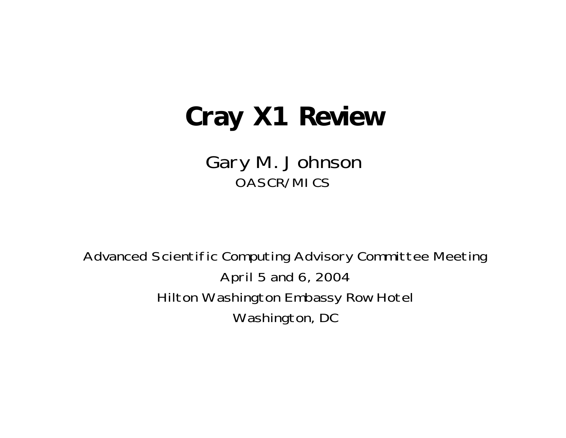### **Cray X1 Review**

Gary M. Johnson OASCR/MICS

Advanced Scientific Computing Advisory Committee Meeting April 5 and 6, 2004 Hilton Washington Embassy Row Hotel Washington, DC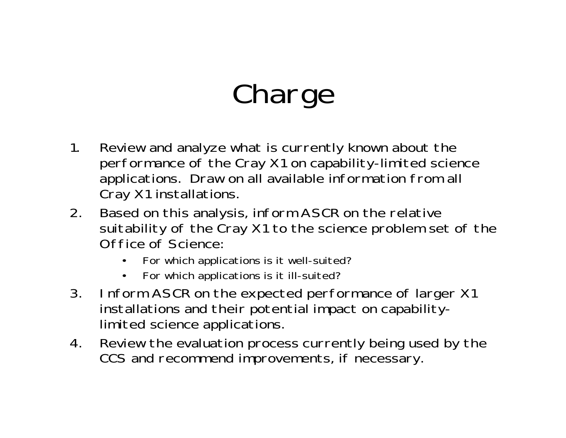# Charge

- 1. Review and analyze what is currently known about the performance of the Cray X1 on capability-limited science applications. Draw on all available information from all Cray X1 installations.
- 2. Based on this analysis, inform ASCR on the relative suitability of the Cray X1 to the science problem set of the Office of Science:
	- •For which applications is it well-suited?
	- •For which applications is it ill-suited?
- 3. Inform ASCR on the expected performance of larger X1 installations and their potential impact on capabilitylimited science applications.
- 4. Review the evaluation process currently being used by the CCS and recommend improvements, if necessary.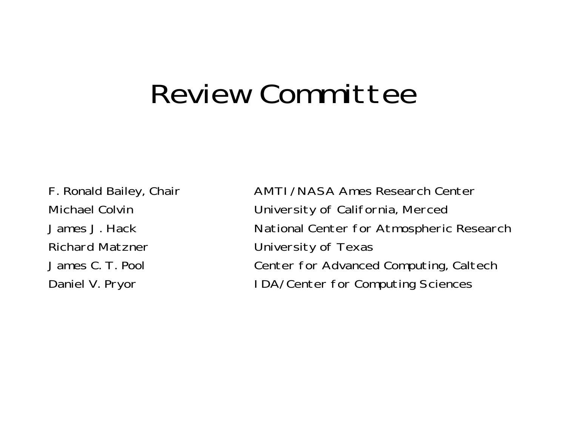## Review Committee

Richard Matzner **University of Texas** 

F. Ronald Bailey, Chair **AMTI/NASA Ames Research Center** Michael Colvin University of California, Merced James J. Hack National Center for Atmospheric Research James C. T. Pool Center for Advanced Computing, Caltech Daniel V. Pryor **IDA/Center for Computing Sciences**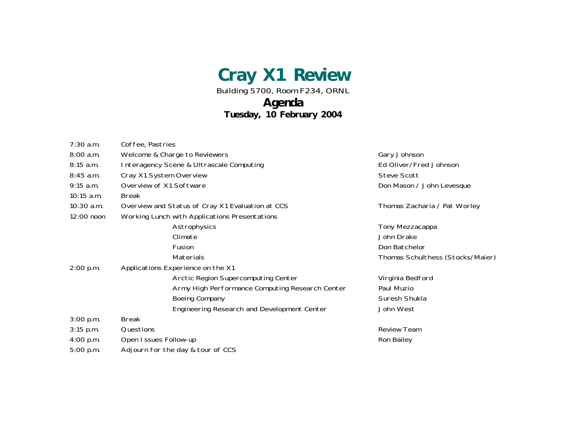**Cray X1 Review**

Building 5700, Room F234, ORNL

#### **Agenda**

**Tuesday, 10 February 2004**

| $7:30$ a.m.  | Coffee, Pastries                                 |                                  |
|--------------|--------------------------------------------------|----------------------------------|
| 8:00 a.m.    | Welcome & Charge to Reviewers                    | Gary Johnson                     |
| 8:15 a.m.    | Interagency Scene & Ultrascale Computing         | Ed Oliver/Fred Johnson           |
| 8:45 a.m.    | Cray X1 System Overview                          | <b>Steve Scott</b>               |
| $9:15$ a.m.  | Overview of X1 Software                          | Don Mason / John Levesque        |
| $10:15$ a.m. | <b>Break</b>                                     |                                  |
| $10:30$ a.m. | Overview and Status of Cray X1 Evaluation at CCS | Thomas Zacharia / Pat Worley     |
| $12:00$ noon | Working Lunch with Applications Presentations    |                                  |
|              | Astrophysics                                     | Tony Mezzacappa                  |
|              | Climate                                          | John Drake                       |
|              | Fusion                                           | Don Batchelor                    |
|              | Materials                                        | Thomas Schulthess (Stocks/Maier) |
| 2:00 p.m.    | Applications Experience on the X1                |                                  |
|              | Arctic Region Supercomputing Center              | Virginia Bedford                 |
|              | Army High Performance Computing Research Center  | Paul Muzio                       |
|              | <b>Boeing Company</b>                            | Suresh Shukla                    |
|              | Engineering Research and Development Center      | John West                        |
| 3:00 p.m.    | <b>Break</b>                                     |                                  |
| $3:15$ p.m.  | Questions                                        | <b>Review Team</b>               |
| $4:00$ p.m.  | Open I ssues Follow-up                           | Ron Bailey                       |
| 5:00 p.m.    | Adjourn for the day & tour of CCS                |                                  |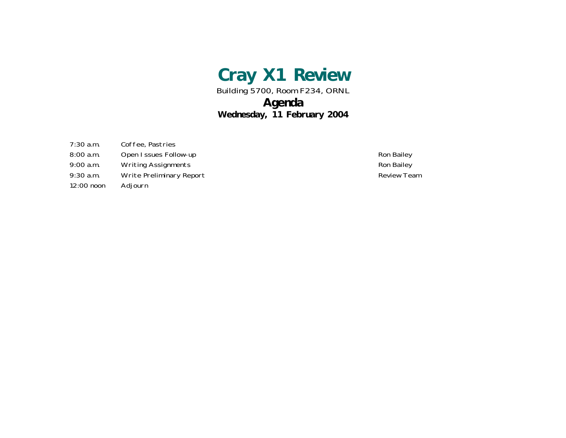

Building 5700, Room F234, ORNL

#### **Agenda**

#### **Wednesday, 11 February 2004**

7:30 a.m. Coffee, Pastries

- 8:00 a.m. Open Issues Follow-up **Ron Bailey** Ron Bailey
- 9:00 a.m. Writing Assignments **Ron Bailey** Ron Bailey
- 9:30 a.m. Write Preliminary Report **Construction Construction** Review Team
- 12:00 noon Adjourn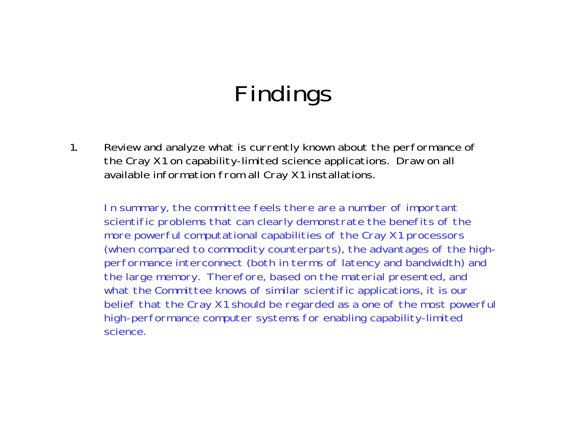1. Review and analyze what is currently known about the performance of the Cray X1 on capability-limited science applications. Draw on all available information from all Cray X1 installations.

In summary, the committee feels there are a number of important scientific problems that can clearly demonstrate the benefits of the more powerful computational capabilities of the Cray X1 processors (when compared to commodity counterparts), the advantages of the highperformance interconnect (both in terms of latency and bandwidth) and the large memory. Therefore, based on the material presented, and what the Committee knows of similar scientific applications, it is our belief that the Cray X1 should be regarded as a one of the most powerful high-performance computer systems for enabling capability-limited science.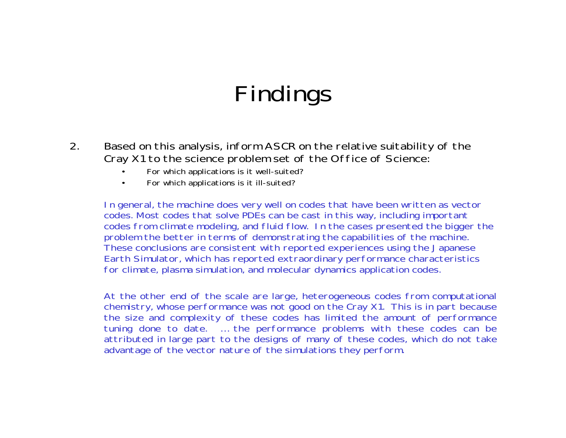- 2. Based on this analysis, inform ASCR on the relative suitability of the Cray X1 to the science problem set of the Office of Science:
	- For which applications is it well-suited?
	- For which applications is it ill-suited?

In general, the machine does very well on codes that have been written as vector codes. Most codes that solve PDEs can be cast in this way, including important codes from climate modeling, and fluid flow. In the cases presented the bigger the problem the better in terms of demonstrating the capabilities of the machine. These conclusions are consistent with reported experiences using the Japanese Earth Simulator, which has reported extraordinary performance characteristics for climate, plasma simulation, and molecular dynamics application codes.

At the other end of the scale are large, heterogeneous codes from computational chemistry, whose performance was not good on the Cray X1. This is in part because the size and complexity of these codes has limited the amount of performance tuning done to date. … the performance problems with these codes can be attributed in large part to the designs of many of these codes, which do not take advantage of the vector nature of the simulations they perform.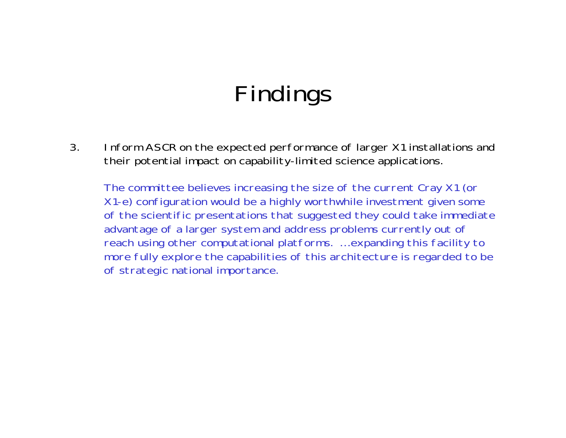3. Inform ASCR on the expected performance of larger X1 installations and their potential impact on capability-limited science applications.

The committee believes increasing the size of the current Cray X1 (or X1-e) configuration would be a highly worthwhile investment given some of the scientific presentations that suggested they could take immediate advantage of a larger system and address problems currently out of reach using other computational platforms. … expanding this facility to more fully explore the capabilities of this architecture is regarded to be of strategic national importance.